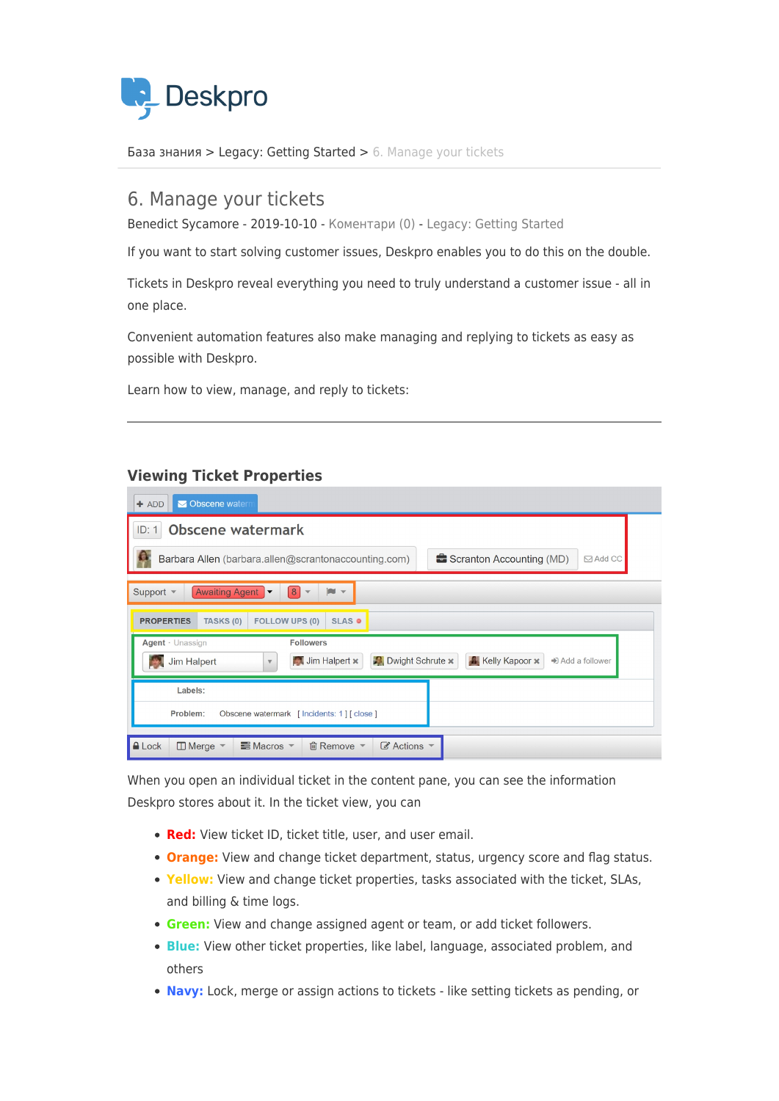

[База знания](https://support.deskpro.com/bg/kb) > [Legacy: Getting Started](https://support.deskpro.com/bg/kb/legacy-getting-started) > [6. Manage your tickets](https://support.deskpro.com/bg/kb/articles/6-manage-your-tickets)

## 6. Manage your tickets

Benedict Sycamore - 2019-10-10 - [Коментари \(0\)](#page--1-0) - [Legacy: Getting Started](https://support.deskpro.com/bg/kb/legacy-getting-started)

If you want to start solving customer issues, Deskpro enables you to do this on the double.

Tickets in Deskpro reveal everything you need to truly understand a customer issue - all in one place.

Convenient automation features also make managing and replying to tickets as easy as possible with Deskpro.

Learn how to view, manage, and reply to tickets:

## **Viewing Ticket Properties**

| Obscene watern<br>$+$ ADD                                                                                                                                    |  |  |  |  |  |  |  |  |  |
|--------------------------------------------------------------------------------------------------------------------------------------------------------------|--|--|--|--|--|--|--|--|--|
| <b>Obscene watermark</b><br>ID: 1                                                                                                                            |  |  |  |  |  |  |  |  |  |
| Barbara Allen (barbara.allen@scrantonaccounting.com)<br>Scranton Accounting (MD)<br>$\boxdot$ Add CC                                                         |  |  |  |  |  |  |  |  |  |
| Awaiting Agent<br>$\left  8 \right $<br>Support $\blacktriangledown$<br><b>IN</b><br>$\overline{\mathbf{v}}$<br>$\overline{\mathbf{v}}$                      |  |  |  |  |  |  |  |  |  |
| <b>FOLLOW UPS (0)</b><br><b>PROPERTIES</b><br>TASKS (0)<br><b>SLAS @</b>                                                                                     |  |  |  |  |  |  |  |  |  |
| Agent · Unassign<br><b>Followers</b><br>Dwight Schrute x<br><b>A</b> Kelly Kapoor x<br>Jim Halpert x<br>$\bigstar$ Add a follower<br><b>Jim Halpert</b><br>v |  |  |  |  |  |  |  |  |  |
| Labels:<br>Problem:<br>Obscene watermark [Incidents: 1] [close]                                                                                              |  |  |  |  |  |  |  |  |  |
| $\mathscr{C}$ Actions<br><b>△</b> Lock<br>$\equiv$ Macros $\sim$<br>$\Box$ Merge $\sim$<br>m Remove ▼                                                        |  |  |  |  |  |  |  |  |  |

When you open an individual ticket in the content pane, you can see the information Deskpro stores about it. In the ticket view, you can

- **Red:** View ticket ID, ticket title, user, and user email.
- **Orange:** View and change ticket department, status, urgency score and flag status.
- **Yellow:** View and change ticket properties, tasks associated with the ticket, SLAs, and billing & time logs.
- **Green:** View and change assigned agent or team, or add ticket followers.
- **Blue:** View other ticket properties, like label, language, associated problem, and others
- **Navy:** Lock, merge or assign actions to tickets like setting tickets as pending, or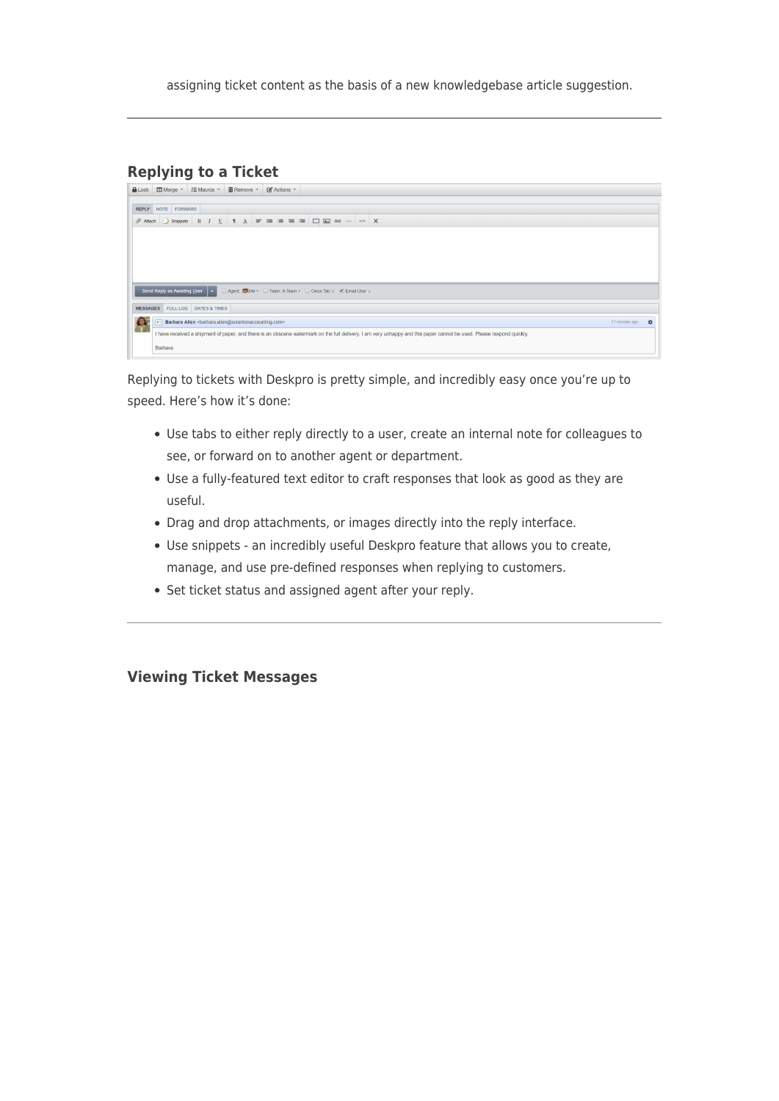assigning ticket content as the basis of a new knowledgebase article suggestion.

## **Replying to a Ticket**

|                                                                                          | ALock   □ Merge =   三 Macros =   ■ Remove =   ■ Actions =                                                                                                             |  |  |  |  |  |  |  |  |  |  |
|------------------------------------------------------------------------------------------|-----------------------------------------------------------------------------------------------------------------------------------------------------------------------|--|--|--|--|--|--|--|--|--|--|
|                                                                                          |                                                                                                                                                                       |  |  |  |  |  |  |  |  |  |  |
| <b>REPLY NOTE FORWARD</b>                                                                |                                                                                                                                                                       |  |  |  |  |  |  |  |  |  |  |
|                                                                                          | <b>B</b> <i>I</i> U   1 <u>A</u> = ≡ ≡ ≡ ≡ □ □ □ ∞ -   ◇ X<br>Attach Rippets                                                                                          |  |  |  |  |  |  |  |  |  |  |
|                                                                                          |                                                                                                                                                                       |  |  |  |  |  |  |  |  |  |  |
|                                                                                          |                                                                                                                                                                       |  |  |  |  |  |  |  |  |  |  |
|                                                                                          |                                                                                                                                                                       |  |  |  |  |  |  |  |  |  |  |
|                                                                                          |                                                                                                                                                                       |  |  |  |  |  |  |  |  |  |  |
| Send Reply as Awaiting User A DAgent: Me ▼ D Team: A Team ▼ D Close Tab V Ø Email User V |                                                                                                                                                                       |  |  |  |  |  |  |  |  |  |  |
| MESSAGES FULL LOG DATES & TIMES                                                          |                                                                                                                                                                       |  |  |  |  |  |  |  |  |  |  |
| Barbara Allen<br>sbarbara.allen@scrantonaccounting.com><br>21 minutes ago<br><b>H1</b>   |                                                                                                                                                                       |  |  |  |  |  |  |  |  |  |  |
|                                                                                          | I have received a shipment of paper, and there is an obscene watermark on the full delivery. I am very unhappy and this paper cannot be used. Please respond quickly. |  |  |  |  |  |  |  |  |  |  |
|                                                                                          | Barbara                                                                                                                                                               |  |  |  |  |  |  |  |  |  |  |

Replying to tickets with Deskpro is pretty simple, and incredibly easy once you're up to speed. Here's how it's done:

- Use tabs to either reply directly to a user, create an internal note for colleagues to see, or forward on to another agent or department.
- Use a fully-featured text editor to craft responses that look as good as they are useful.
- Drag and drop attachments, or images directly into the reply interface.
- Use snippets an incredibly useful Deskpro feature that allows you to create, manage, and use pre-defined responses when replying to customers.
- Set ticket status and assigned agent after your reply.

## **Viewing Ticket Messages**